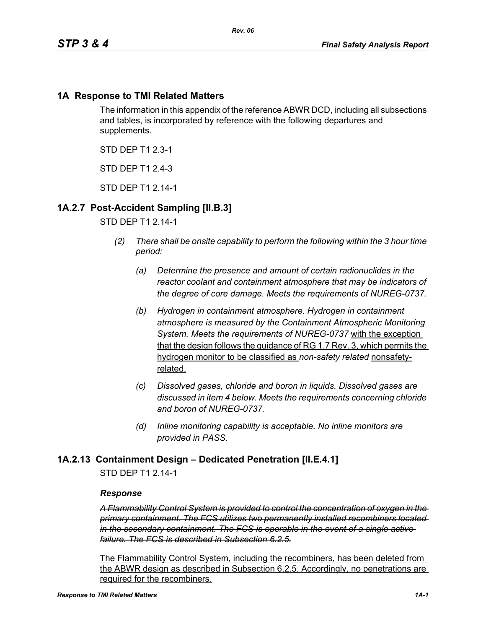### **1A Response to TMI Related Matters**

The information in this appendix of the reference ABWR DCD, including all subsections and tables, is incorporated by reference with the following departures and supplements.

STD DEP T1 2.3-1

STD DFP T1 2 4-3

STD DFP T1 2 14-1

### **1A.2.7 Post-Accident Sampling [II.B.3]**

#### STD DEP T1 2.14-1

- *(2) There shall be onsite capability to perform the following within the 3 hour time period:*
	- *(a) Determine the presence and amount of certain radionuclides in the reactor coolant and containment atmosphere that may be indicators of the degree of core damage. Meets the requirements of NUREG-0737.*
	- *(b) Hydrogen in containment atmosphere. Hydrogen in containment atmosphere is measured by the Containment Atmospheric Monitoring System. Meets the requirements of NUREG-0737* with the exception that the design follows the guidance of RG 1.7 Rev. 3, which permits the hydrogen monitor to be classified as *non-safety related* nonsafetyrelated.
	- *(c) Dissolved gases, chloride and boron in liquids. Dissolved gases are discussed in item 4 below. Meets the requirements concerning chloride and boron of NUREG-0737.*
	- *(d) Inline monitoring capability is acceptable. No inline monitors are provided in PASS.*

#### **1A.2.13 Containment Design – Dedicated Penetration [II.E.4.1]**

STD DEP T1 2.14-1

#### *Response*

*A Flammability Control System is provided to control the concentration of oxygen in the primary containment. The FCS utilizes two permanently installed recombiners located in the secondary containment. The FCS is operable in the event of a single active failure. The FCS is described in Subsection 6.2.5.*

The Flammability Control System, including the recombiners, has been deleted from the ABWR design as described in Subsection 6.2.5. Accordingly, no penetrations are required for the recombiners.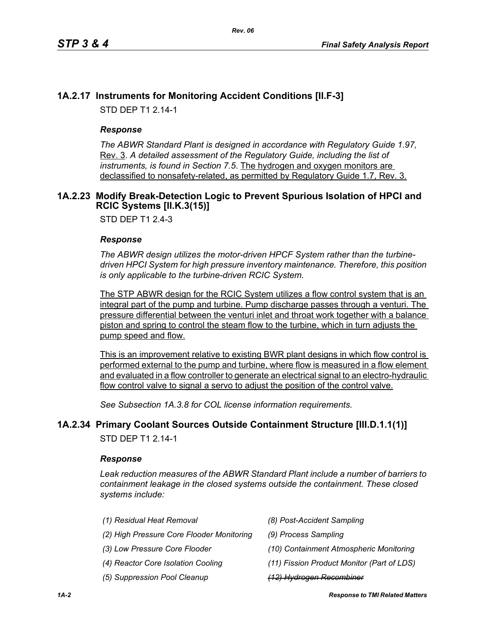## **1A.2.17 Instruments for Monitoring Accident Conditions [II.F-3]**

STD DEP T1 2.14-1

#### *Response*

*The ABWR Standard Plant is designed in accordance with Regulatory Guide 1.97,* Rev. 3. *A detailed assessment of the Regulatory Guide, including the list of instruments, is found in Section 7.5*. The hydrogen and oxygen monitors are declassified to nonsafety-related, as permitted by Regulatory Guide 1.7, Rev. 3.

#### <span id="page-1-0"></span>**1A.2.23 Modify Break-Detection Logic to Prevent Spurious Isolation of HPCI and RCIC Systems [II.K.3(15)]**

STD DEP T1 2.4-3

#### *Response*

*The ABWR design utilizes the motor-driven HPCF System rather than the turbinedriven HPCI System for high pressure inventory maintenance. Therefore, this position is only applicable to the turbine-driven RCIC System.*

The STP ABWR design for the RCIC System utilizes a flow control system that is an integral part of the pump and turbine. Pump discharge passes through a venturi. The pressure differential between the venturi inlet and throat work together with a balance piston and spring to control the steam flow to the turbine, which in turn adjusts the pump speed and flow.

This is an improvement relative to existing BWR plant designs in which flow control is performed external to the pump and turbine, where flow is measured in a flow element and evaluated in a flow controller to generate an electrical signal to an electro-hydraulic flow control valve to signal a servo to adjust the position of the control valve.

*See Subsection 1A.3.8 for COL license information requirements.*

### **1A.2.34 Primary Coolant Sources Outside Containment Structure [III.D.1.1(1)]**

STD DEP T1 2.14-1

#### *Response*

*Leak reduction measures of the ABWR Standard Plant include a number of barriers to containment leakage in the closed systems outside the containment. These closed systems include:*

| (1) Residual Heat Removal                 | (8) Post-Accident Sampling                 |
|-------------------------------------------|--------------------------------------------|
| (2) High Pressure Core Flooder Monitoring | (9) Process Sampling                       |
| (3) Low Pressure Core Flooder             | (10) Containment Atmospheric Monitoring    |
| (4) Reactor Core Isolation Cooling        | (11) Fission Product Monitor (Part of LDS) |
| (5) Suppression Pool Cleanup              | (12) Hydrogen Recombiner                   |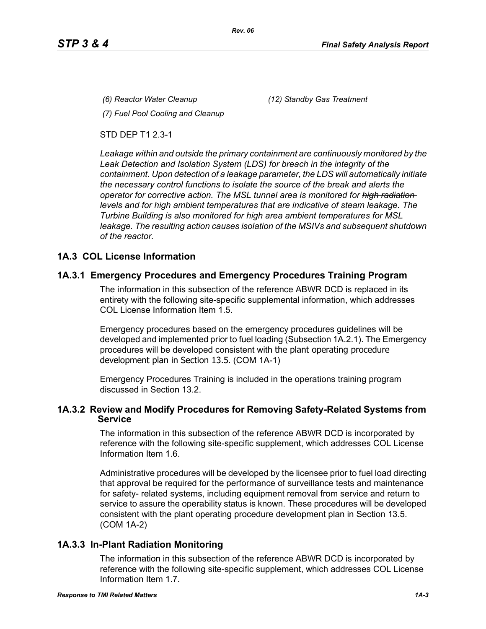*(7) Fuel Pool Cooling and Cleanup*

STD DEP T1 2.3-1

*Leakage within and outside the primary containment are continuously monitored by the Leak Detection and Isolation System (LDS) for breach in the integrity of the containment. Upon detection of a leakage parameter, the LDS will automatically initiate the necessary control functions to isolate the source of the break and alerts the operator for corrective action. The MSL tunnel area is monitored for high radiation levels and for high ambient temperatures that are indicative of steam leakage. The Turbine Building is also monitored for high area ambient temperatures for MSL leakage. The resulting action causes isolation of the MSIVs and subsequent shutdown of the reactor.*

## **1A.3 COL License Information**

### **1A.3.1 Emergency Procedures and Emergency Procedures Training Program**

The information in this subsection of the reference ABWR DCD is replaced in its entirety with the following site-specific supplemental information, which addresses COL License Information Item 1.5.

Emergency procedures based on the emergency procedures guidelines will be developed and implemented prior to fuel loading (Subsection 1A.2.1). The Emergency procedures will be developed consistent with the plant operating procedure development plan in Section 13.5. (COM 1A-1)

Emergency Procedures Training is included in the operations training program discussed in Section 13.2.

### **1A.3.2 Review and Modify Procedures for Removing Safety-Related Systems from Service**

The information in this subsection of the reference ABWR DCD is incorporated by reference with the following site-specific supplement, which addresses COL License Information Item 1.6.

Administrative procedures will be developed by the licensee prior to fuel load directing that approval be required for the performance of surveillance tests and maintenance for safety- related systems, including equipment removal from service and return to service to assure the operability status is known. These procedures will be developed consistent with the plant operating procedure development plan in Section 13.5. (COM 1A-2)

# **1A.3.3 In-Plant Radiation Monitoring**

The information in this subsection of the reference ABWR DCD is incorporated by reference with the following site-specific supplement, which addresses COL License Information Item 1.7.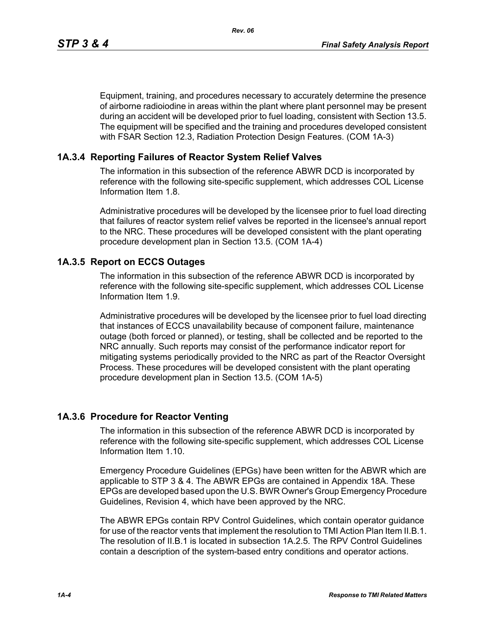Equipment, training, and procedures necessary to accurately determine the presence of airborne radioiodine in areas within the plant where plant personnel may be present during an accident will be developed prior to fuel loading, consistent with Section 13.5. The equipment will be specified and the training and procedures developed consistent with FSAR Section 12.3, Radiation Protection Design Features. (COM 1A-3)

#### **1A.3.4 Reporting Failures of Reactor System Relief Valves**

The information in this subsection of the reference ABWR DCD is incorporated by reference with the following site-specific supplement, which addresses COL License Information Item 1.8.

Administrative procedures will be developed by the licensee prior to fuel load directing that failures of reactor system relief valves be reported in the licensee's annual report to the NRC. These procedures will be developed consistent with the plant operating procedure development plan in Section 13.5. (COM 1A-4)

### **1A.3.5 Report on ECCS Outages**

The information in this subsection of the reference ABWR DCD is incorporated by reference with the following site-specific supplement, which addresses COL License Information Item 1.9.

Administrative procedures will be developed by the licensee prior to fuel load directing that instances of ECCS unavailability because of component failure, maintenance outage (both forced or planned), or testing, shall be collected and be reported to the NRC annually. Such reports may consist of the performance indicator report for mitigating systems periodically provided to the NRC as part of the Reactor Oversight Process. These procedures will be developed consistent with the plant operating procedure development plan in Section 13.5. (COM 1A-5)

#### **1A.3.6 Procedure for Reactor Venting**

The information in this subsection of the reference ABWR DCD is incorporated by reference with the following site-specific supplement, which addresses COL License Information Item 1.10.

Emergency Procedure Guidelines (EPGs) have been written for the ABWR which are applicable to STP 3 & 4. The ABWR EPGs are contained in Appendix 18A. These EPGs are developed based upon the U.S. BWR Owner's Group Emergency Procedure Guidelines, Revision 4, which have been approved by the NRC.

The ABWR EPGs contain RPV Control Guidelines, which contain operator guidance for use of the reactor vents that implement the resolution to TMI Action Plan Item II.B.1. The resolution of II.B.1 is located in subsection 1A.2.5. The RPV Control Guidelines contain a description of the system-based entry conditions and operator actions.